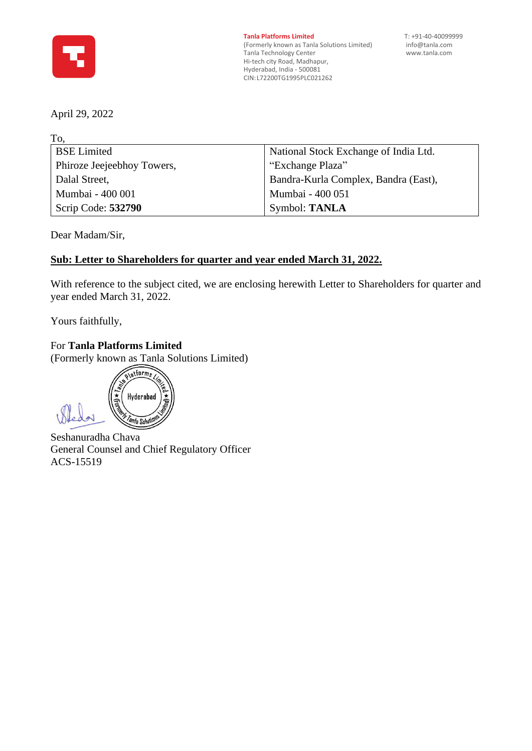

**Tanla Platforms Limited** T: +91-40-40099999<br>(Formerly known as Tanla Solutions Limited) info@tanla.com (Formerly known as Tanla Solutions Limited) [info@tanla.com](mailto:info@tanla.com)<br>Tanla Technology Center info@tanla.com Tanla Technology Center Hi-tech city Road, Madhapur, Hyderabad, India - 500081 CIN:L72200TG1995PLC021262

April 29, 2022

To,

| National Stock Exchange of India Ltd. |
|---------------------------------------|
|                                       |
|                                       |
| Bandra-Kurla Complex, Bandra (East),  |
|                                       |
|                                       |
|                                       |

Dear Madam/Sir,

### **Sub: Letter to Shareholders for quarter and year ended March 31, 2022.**

With reference to the subject cited, we are enclosing herewith Letter to Shareholders for quarter and year ended March 31, 2022.

Yours faithfully,

For **Tanla Platforms Limited**

(Formerly known as Tanla Solutions Limited)

platforms Hyderabad *anla Soluti* 

Seshanuradha Chava General Counsel and Chief Regulatory Officer ACS-15519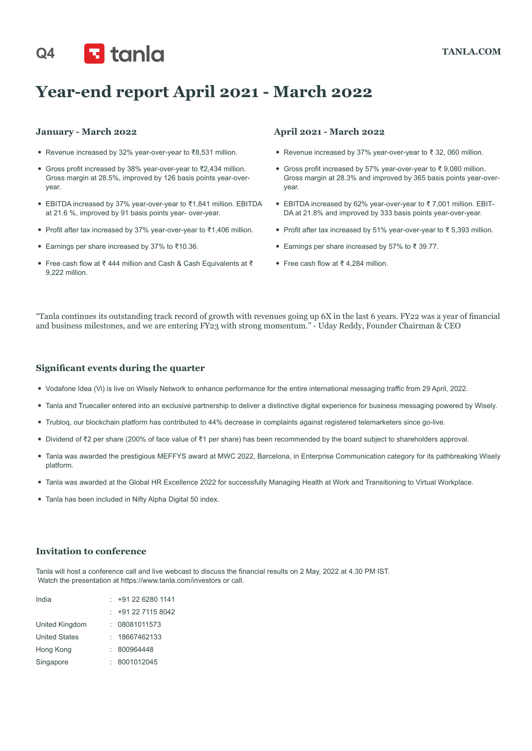# Q4 **TANLA.COM**

## **Year-end report April 2021 - March 2022**

#### **January - March 2022**

- y Revenue increased by 32% year-over-year to ₹8,531 million.
- y Gross profit increased by 38% year-over-year to ₹2,434 million. Gross margin at 28.5%, improved by 126 basis points year-overyear.
- y EBITDA increased by 37% year-over-year to ₹1,841 million. EBITDA at 21.6 %, improved by 91 basis points year- over-year.
- y Profit after tax increased by 37% year-over-year to ₹1,406 million.
- y Earnings per share increased by 37% to ₹10.36.
- y Free cash flow at ₹ 444 million and Cash & Cash Equivalents at ₹ 9,222 million.

#### **April 2021 - March 2022**

- y Revenue increased by 37% year-over-year to ₹ 32, 060 million.
- y Gross profit increased by 57% year-over-year to ₹ 9,080 million. Gross margin at 28.3% and improved by 365 basis points year-overyear.
- y EBITDA increased by 62% year-over-year to ₹ 7,001 million. EBIT-DA at 21.8% and improved by 333 basis points year-over-year.
- Profit after tax increased by 51% year-over-year to ₹ 5,393 million.
- y Earnings per share increased by 57% to ₹ 39.77.
- Free cash flow at ₹ 4,284 million.

"Tanla continues its outstanding track record of growth with revenues going up 6X in the last 6 years. FY22 was a year of financial and business milestones, and we are entering FY23 with strong momentum." - Uday Reddy, Founder Chairman & CEO

#### **Significant events during the quarter**

- Vodafone Idea (Vi) is live on Wisely Network to enhance performance for the entire international messaging traffic from 29 April, 2022.
- y Tanla and Truecaller entered into an exclusive partnership to deliver a distinctive digital experience for business messaging powered by Wisely.
- y Trubloq, our blockchain platform has contributed to 44% decrease in complaints against registered telemarketers since go-live.
- y Dividend of ₹2 per share (200% of face value of ₹1 per share) has been recommended by the board subject to shareholders approval.
- y Tanla was awarded the prestigious MEFFYS award at MWC 2022, Barcelona, in Enterprise Communication category for its pathbreaking Wisely platform.
- y Tanla was awarded at the Global HR Excellence 2022 for successfully Managing Health at Work and Transitioning to Virtual Workplace.
- Tanla has been included in Nifty Alpha Digital 50 index.

#### **Invitation to conference**

Tanla will host a conference call and live webcast to discuss the financial results on 2 May, 2022 at 4.30 PM IST. Watch the presentation at https://www.tanla.com/investors or call.

| India                | $: +912262801141$ |
|----------------------|-------------------|
|                      | $: +912271158042$ |
| United Kingdom       | 08081011573       |
| <b>United States</b> | 18667462133       |
| Hong Kong            | 800964448         |
| Singapore            | 8001012045        |
|                      |                   |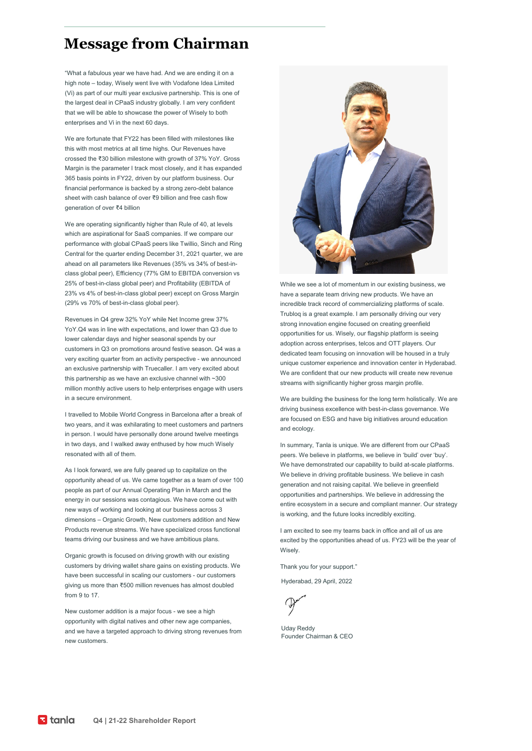### **Message from Chairman**

"What a fabulous year we have had. And we are ending it on a high note – today, Wisely went live with Vodafone Idea Limited (Vi) as part of our multi year exclusive partnership. This is one of the largest deal in CPaaS industry globally. I am very confident that we will be able to showcase the power of Wisely to both enterprises and Vi in the next 60 days.

We are fortunate that FY22 has been filled with milestones like this with most metrics at all time highs. Our Revenues have crossed the ₹30 billion milestone with growth of 37% YoY. Gross Margin is the parameter I track most closely, and it has expanded 365 basis points in FY22, driven by our platform business. Our financial performance is backed by a strong zero-debt balance sheet with cash balance of over ₹9 billion and free cash flow generation of over ₹4 billion

We are operating significantly higher than Rule of 40, at levels which are aspirational for SaaS companies. If we compare our performance with global CPaaS peers like Twillio, Sinch and Ring Central for the quarter ending December 31, 2021 quarter, we are ahead on all parameters like Revenues (35% vs 34% of best-inclass global peer), Efficiency (77% GM to EBITDA conversion vs 25% of best-in-class global peer) and Profitability (EBITDA of 23% vs 4% of best-in-class global peer) except on Gross Margin (29% vs 70% of best-in-class global peer).

Revenues in Q4 grew 32% YoY while Net Income grew 37% YoY.Q4 was in line with expectations, and lower than Q3 due to lower calendar days and higher seasonal spends by our customers in Q3 on promotions around festive season. Q4 was a very exciting quarter from an activity perspective - we announced an exclusive partnership with Truecaller. I am very excited about this partnership as we have an exclusive channel with ~300 million monthly active users to help enterprises engage with users in a secure environment.

I travelled to Mobile World Congress in Barcelona after a break of two years, and it was exhilarating to meet customers and partners in person. I would have personally done around twelve meetings in two days, and I walked away enthused by how much Wisely resonated with all of them.

As I look forward, we are fully geared up to capitalize on the opportunity ahead of us. We came together as a team of over 100 people as part of our Annual Operating Plan in March and the energy in our sessions was contagious. We have come out with new ways of working and looking at our business across 3 dimensions – Organic Growth, New customers addition and New Products revenue streams. We have specialized cross functional teams driving our business and we have ambitious plans.

Organic growth is focused on driving growth with our existing customers by driving wallet share gains on existing products. We have been successful in scaling our customers - our customers giving us more than ₹500 million revenues has almost doubled from 9 to 17.

New customer addition is a major focus - we see a high opportunity with digital natives and other new age companies, and we have a targeted approach to driving strong revenues from new customers.



While we see a lot of momentum in our existing business, we have a separate team driving new products. We have an incredible track record of commercializing platforms of scale. Trubloq is a great example. I am personally driving our very strong innovation engine focused on creating greenfield opportunities for us. Wisely, our flagship platform is seeing adoption across enterprises, telcos and OTT players. Our dedicated team focusing on innovation will be housed in a truly unique customer experience and innovation center in Hyderabad. We are confident that our new products will create new revenue streams with significantly higher gross margin profile.

We are building the business for the long term holistically. We are driving business excellence with best-in-class governance. We are focused on ESG and have big initiatives around education and ecology

In summary, Tanla is unique. We are different from our CPaaS peers. We believe in platforms, we believe in 'build' over 'buy'. We have demonstrated our capability to build at-scale platforms. We believe in driving profitable business. We believe in cash generation and not raising capital. We believe in greenfield opportunities and partnerships. We believe in addressing the entire ecosystem in a secure and compliant manner. Our strategy is working, and the future looks incredibly exciting.

I am excited to see my teams back in office and all of us are excited by the opportunities ahead of us. FY23 will be the year of Wisely.

Thank you for your support."

Hyderabad, 29 April, 2022

Uday Reddy Founder Chairman & CEO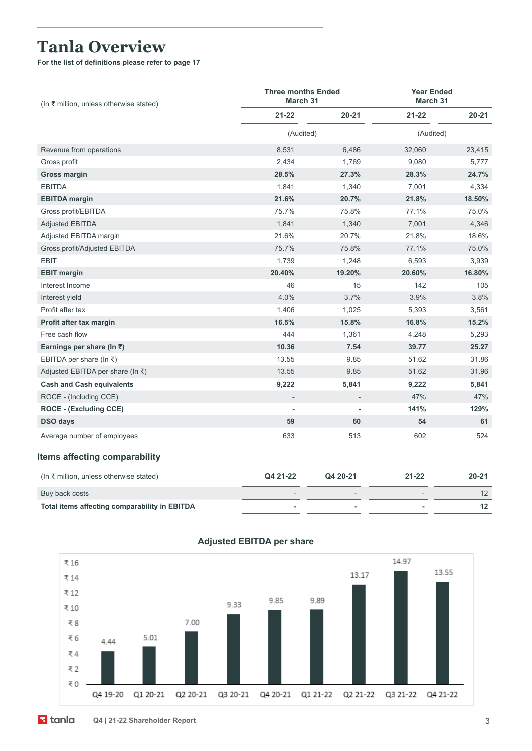### **Tanla Overview**

**For the list of definitions please refer to page 17**

| $(ln ₹$ million, unless otherwise stated)     | <b>Three months Ended</b><br>March 31 |           |           | <b>Year Ended</b><br>March 31 |  |  |
|-----------------------------------------------|---------------------------------------|-----------|-----------|-------------------------------|--|--|
|                                               | $21 - 22$                             | $20 - 21$ | $21 - 22$ | $20 - 21$                     |  |  |
|                                               | (Audited)                             |           |           | (Audited)                     |  |  |
| Revenue from operations                       | 8,531                                 | 6,486     | 32,060    | 23,415                        |  |  |
| Gross profit                                  | 2,434                                 | 1,769     | 9,080     | 5,777                         |  |  |
| <b>Gross margin</b>                           | 28.5%                                 | 27.3%     | 28.3%     | 24.7%                         |  |  |
| <b>EBITDA</b>                                 | 1,841                                 | 1,340     | 7,001     | 4,334                         |  |  |
| <b>EBITDA</b> margin                          | 21.6%                                 | 20.7%     | 21.8%     | 18.50%                        |  |  |
| Gross profit/EBITDA                           | 75.7%                                 | 75.8%     | 77.1%     | 75.0%                         |  |  |
| <b>Adjusted EBITDA</b>                        | 1,841                                 | 1,340     | 7,001     | 4,346                         |  |  |
| Adjusted EBITDA margin                        | 21.6%                                 | 20.7%     | 21.8%     | 18.6%                         |  |  |
| Gross profit/Adjusted EBITDA                  | 75.7%                                 | 75.8%     | 77.1%     | 75.0%                         |  |  |
| <b>EBIT</b>                                   | 1,739                                 | 1,248     | 6,593     | 3,939                         |  |  |
| <b>EBIT margin</b>                            | 20.40%                                | 19.20%    | 20.60%    | 16.80%                        |  |  |
| Interest Income                               | 46                                    | 15        | 142       | 105                           |  |  |
| Interest yield                                | 4.0%                                  | 3.7%      | 3.9%      | 3.8%                          |  |  |
| Profit after tax                              | 1,406                                 | 1,025     | 5,393     | 3,561                         |  |  |
| Profit after tax margin                       | 16.5%                                 | 15.8%     | 16.8%     | 15.2%                         |  |  |
| Free cash flow                                | 444                                   | 1,361     | 4,248     | 5,293                         |  |  |
| Earnings per share (In $\bar{z}$ )            | 10.36                                 | 7.54      | 39.77     | 25.27                         |  |  |
| EBITDA per share (In $\bar{\tau}$ )           | 13.55                                 | 9.85      | 51.62     | 31.86                         |  |  |
| Adjusted EBITDA per share (In ₹)              | 13.55                                 | 9.85      | 51.62     | 31.96                         |  |  |
| <b>Cash and Cash equivalents</b>              | 9,222                                 | 5,841     | 9,222     | 5,841                         |  |  |
| ROCE - (Including CCE)                        |                                       |           | 47%       | 47%                           |  |  |
| <b>ROCE - (Excluding CCE)</b>                 |                                       |           | 141%      | 129%                          |  |  |
| <b>DSO days</b>                               | 59                                    | 60        | 54        | 61                            |  |  |
| Average number of employees                   | 633                                   | 513       | 602       | 524                           |  |  |
| <b>Items affecting comparability</b>          |                                       |           |           |                               |  |  |
| (In ₹ million, unless otherwise stated)       | Q4 21-22                              | Q4 20-21  | $21 - 22$ | 20-21                         |  |  |
| Buy back costs                                |                                       |           |           | 12                            |  |  |
| Total items affecting comparability in EBITDA | ٠                                     | ٠         | ÷         | 12                            |  |  |



#### **Adjusted EBITDA per share**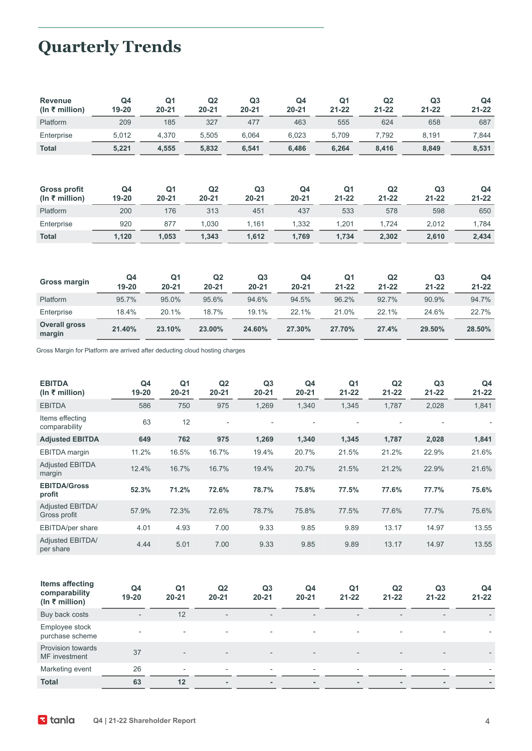# **Quarterly Trends**

| <b>Revenue</b><br>(In ₹ million)      | Q4<br>19-20 | Q <sub>1</sub><br>$20 - 21$ | Q2<br>$20 - 21$ | Q <sub>3</sub><br>$20 - 21$ | Q <sub>4</sub><br>$20 - 21$ | Q <sub>1</sub><br>$21 - 22$ | Q2<br>$21 - 22$ | Q3<br>$21 - 22$             | Q4<br>$21 - 22$             |
|---------------------------------------|-------------|-----------------------------|-----------------|-----------------------------|-----------------------------|-----------------------------|-----------------|-----------------------------|-----------------------------|
| Platform                              | 209         | 185                         | 327             | 477                         | 463                         | 555                         | 624             | 658                         | 687                         |
| Enterprise                            | 5,012       | 4,370                       | 5,505           | 6,064                       | 6,023                       | 5,709                       | 7,792           | 8,191                       | 7,844                       |
| <b>Total</b>                          | 5,221       | 4,555                       | 5,832           | 6,541                       | 6,486                       | 6,264                       | 8,416           | 8,849                       | 8,531                       |
| <b>Gross profit</b><br>(ln ₹ million) | Q4<br>19-20 | Q <sub>1</sub><br>$20 - 21$ | Q2<br>$20 - 21$ | Q <sub>3</sub><br>$20 - 21$ | Q4<br>$20 - 21$             | Q <sub>1</sub><br>21-22     | Q2<br>$21 - 22$ | Q <sub>3</sub><br>$21 - 22$ | Q4<br>$21 - 22$             |
| Platform                              | 200         | 176                         | 313             | 451                         | 437                         | 533                         | 578             | 598                         | 650                         |
| Enterprise                            | 920         | 877                         | 1,030           | 1,161                       | 1,332                       | 1,201                       | 1,724           | 2,012                       | 1,784                       |
| <b>Total</b>                          | 1,120       | 1,053                       | 1,343           | 1,612                       | 1,769                       | 1,734                       | 2,302           | 2,610                       | 2,434                       |
| Gross margin                          | Q4<br>19-20 | Q <sub>1</sub><br>$20 - 21$ | Q2<br>$20 - 21$ | Q <sub>3</sub><br>$20 - 21$ | Q4<br>$20 - 21$             | Q <sub>1</sub><br>$21 - 22$ | Q2<br>$21 - 22$ | Q <sub>3</sub><br>$21 - 22$ | Q <sub>4</sub><br>$21 - 22$ |
| Platform                              | 95.7%       | 95.0%                       | 95.6%           | 94.6%                       | 94.5%                       | 96.2%                       | 92.7%           | 90.9%                       | 94.7%                       |
| Enterprise                            | 18.4%       | 20.1%                       | 18.7%           | 19.1%                       | 22.1%                       | 21.0%                       | 22.1%           | 24.6%                       | 22.7%                       |
| <b>Overall gross</b><br>margin        | 21.40%      | 23.10%                      | 23.00%          | 24.60%                      | 27.30%                      | 27.70%                      | 27.4%           | 29.50%                      | 28.50%                      |

Gross Margin for Platform are arrived after deducting cloud hosting charges

| <b>EBITDA</b><br>(In ₹ million)  | Q4<br>$19 - 20$ | Q <sub>1</sub><br>$20 - 21$ | Q <sub>2</sub><br>$20 - 21$ | Q <sub>3</sub><br>$20 - 21$ | Q4<br>$20 - 21$          | Q1<br>$21 - 22$ | Q <sub>2</sub><br>$21 - 22$ | Q <sub>3</sub><br>$21 - 22$ | Q <sub>4</sub><br>$21 - 22$ |
|----------------------------------|-----------------|-----------------------------|-----------------------------|-----------------------------|--------------------------|-----------------|-----------------------------|-----------------------------|-----------------------------|
| <b>EBITDA</b>                    | 586             | 750                         | 975                         | 1,269                       | 1,340                    | 1,345           | 1,787                       | 2,028                       | 1,841                       |
| Items effecting<br>comparability | 63              | 12                          | $\overline{\phantom{a}}$    | $\overline{a}$              | $\overline{\phantom{0}}$ | $\overline{a}$  |                             | $\overline{\phantom{0}}$    |                             |
| <b>Adjusted EBITDA</b>           | 649             | 762                         | 975                         | 1,269                       | 1,340                    | 1,345           | 1,787                       | 2,028                       | 1,841                       |
| EBITDA margin                    | 11.2%           | 16.5%                       | 16.7%                       | 19.4%                       | 20.7%                    | 21.5%           | 21.2%                       | 22.9%                       | 21.6%                       |
| <b>Adjusted EBITDA</b><br>margin | 12.4%           | 16.7%                       | 16.7%                       | 19.4%                       | 20.7%                    | 21.5%           | 21.2%                       | 22.9%                       | 21.6%                       |
| <b>EBITDA/Gross</b><br>profit    | 52.3%           | 71.2%                       | 72.6%                       | 78.7%                       | 75.8%                    | 77.5%           | 77.6%                       | 77.7%                       | 75.6%                       |
| Adjusted EBITDA/<br>Gross profit | 57.9%           | 72.3%                       | 72.6%                       | 78.7%                       | 75.8%                    | 77.5%           | 77.6%                       | 77.7%                       | 75.6%                       |
| EBITDA/per share                 | 4.01            | 4.93                        | 7.00                        | 9.33                        | 9.85                     | 9.89            | 13.17                       | 14.97                       | 13.55                       |
| Adjusted EBITDA/<br>per share    | 4.44            | 5.01                        | 7.00                        | 9.33                        | 9.85                     | 9.89            | 13.17                       | 14.97                       | 13.55                       |
|                                  |                 |                             |                             |                             |                          |                 |                             |                             |                             |

| Items affecting<br>comparability<br>(In ₹ million) | Q4<br>$19 - 20$          | Q1<br>$20 - 21$              | Q <sub>2</sub><br>$20 - 21$ | Q <sub>3</sub><br>$20 - 21$ | Q4<br>$20 - 21$          | Q1<br>$21 - 22$          | Q <sub>2</sub><br>$21 - 22$ | Q <sub>3</sub><br>$21 - 22$ | Q4<br>$21 - 22$          |
|----------------------------------------------------|--------------------------|------------------------------|-----------------------------|-----------------------------|--------------------------|--------------------------|-----------------------------|-----------------------------|--------------------------|
| Buy back costs                                     | $\overline{\phantom{0}}$ | 12                           | $\overline{\phantom{a}}$    | $\overline{\phantom{a}}$    | $\sim$                   | $\overline{\phantom{a}}$ | $\overline{\phantom{a}}$    | $\overline{\phantom{a}}$    | $\overline{\phantom{0}}$ |
| Employee stock<br>purchase scheme                  | $\overline{\phantom{a}}$ | $\overline{\phantom{a}}$     | $\overline{\phantom{a}}$    | $\overline{\phantom{a}}$    | ٠                        | ۰                        | $\overline{\phantom{a}}$    | $\overline{\phantom{a}}$    |                          |
| Provision towards<br>MF investment                 | 37                       | $\qquad \qquad \blacksquare$ | $\overline{\phantom{a}}$    | $\overline{\phantom{a}}$    | $\overline{\phantom{a}}$ | $\overline{\phantom{a}}$ | $\overline{\phantom{a}}$    | $\overline{\phantom{a}}$    |                          |
| Marketing event                                    | 26                       | $\overline{\phantom{a}}$     | $\overline{\phantom{a}}$    | $\overline{\phantom{a}}$    | $\sim$                   | $\overline{\phantom{a}}$ | $\overline{\phantom{a}}$    | $\overline{\phantom{a}}$    | $\overline{\phantom{a}}$ |
| <b>Total</b>                                       | 63                       | 12                           |                             | $\overline{\phantom{a}}$    | $\overline{\phantom{a}}$ | ۰.                       | $\mathbf{r}$                | ٠                           |                          |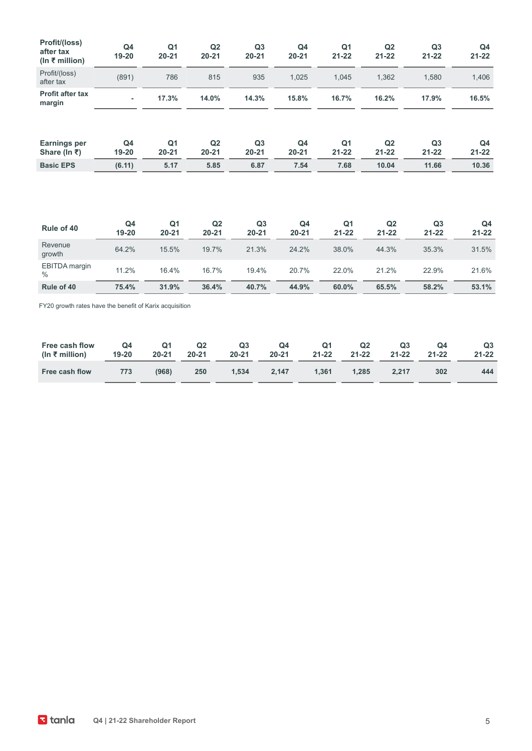| Profit/(loss)<br>after tax<br>(ln ₹ million)            | Q <sub>4</sub><br>19-20 | Q <sub>1</sub><br>$20 - 21$ | Q2<br>$20 - 21$ | Q3<br>$20 - 21$             | Q <sub>4</sub><br>$20 - 21$ | Q <sub>1</sub><br>$21 - 22$ | Q2<br>$21 - 22$ | Q3<br>$21 - 22$             | Q <sub>4</sub><br>$21 - 22$ |
|---------------------------------------------------------|-------------------------|-----------------------------|-----------------|-----------------------------|-----------------------------|-----------------------------|-----------------|-----------------------------|-----------------------------|
| Profit/(loss)<br>after tax                              | (891)                   | 786                         | 815             | 935                         | 1,025                       | 1,045                       | 1,362           | 1,580                       | 1,406                       |
| <b>Profit after tax</b><br>margin                       |                         | 17.3%                       | 14.0%           | 14.3%                       | 15.8%                       | 16.7%                       | 16.2%           | 17.9%                       | 16.5%                       |
| Earnings per<br>Share (In ₹)                            | Q4<br>19-20             | Q <sub>1</sub><br>$20 - 21$ | Q2<br>$20 - 21$ | Q <sub>3</sub><br>$20 - 21$ | Q <sub>4</sub><br>$20 - 21$ | Q <sub>1</sub><br>$21 - 22$ | Q2<br>$21 - 22$ | Q <sub>3</sub><br>$21 - 22$ | Q4<br>$21 - 22$             |
| <b>Basic EPS</b>                                        | (6.11)                  | 5.17                        | 5.85            | 6.87                        | 7.54                        | 7.68                        | 10.04           | 11.66                       | 10.36                       |
| Rule of 40                                              | Q <sub>4</sub><br>19-20 | Q <sub>1</sub><br>$20 - 21$ | Q2<br>$20 - 21$ | Q <sub>3</sub><br>$20 - 21$ | Q4<br>$20 - 21$             | Q <sub>1</sub><br>$21 - 22$ | Q2<br>$21 - 22$ | Q <sub>3</sub><br>$21 - 22$ | Q <sub>4</sub><br>$21 - 22$ |
| Revenue<br>growth                                       | 64.2%                   | 15.5%                       | 19.7%           | 21.3%                       | 24.2%                       | 38.0%                       | 44.3%           | 35.3%                       | 31.5%                       |
| <b>EBITDA</b> margin<br>$\%$                            | 11.2%                   | 16.4%                       | 16.7%           | 19.4%                       | 20.7%                       | 22.0%                       | 21.2%           | 22.9%                       | 21.6%                       |
| Rule of 40                                              | 75.4%                   | 31.9%                       | 36.4%           | 40.7%                       | 44.9%                       | 60.0%                       | 65.5%           | 58.2%                       | 53.1%                       |
| FY20 growth rates have the benefit of Karix acquisition |                         |                             |                 |                             |                             |                             |                 |                             |                             |

| Free cash flow Q4 Q1 Q2 Q3 Q4 Q1 Q2<br>$\frac{1}{10}$ (In ₹ million) 19-20 20-21 20-21 20-21 20-21 21-22 21-22 21-22 21-22 |  |  |  | Q3 | <b>O4</b>        | Q3<br>$21 - 22$ |
|----------------------------------------------------------------------------------------------------------------------------|--|--|--|----|------------------|-----------------|
| Free cash flow 773 (968) 250 1.534 2.147 1.361 1.285 2.217                                                                 |  |  |  |    | 302 <sup>7</sup> | 444             |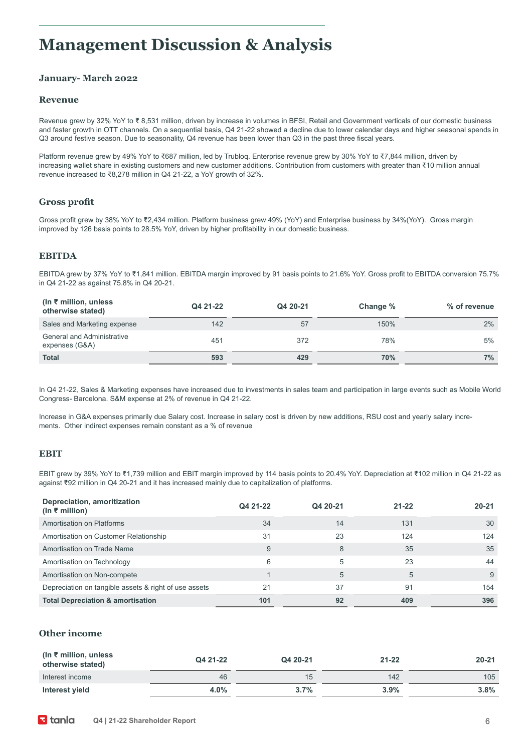### **Management Discussion & Analysis**

#### **January- March 2022**

#### **Revenue**

Revenue grew by 32% YoY to ₹ 8,531 million, driven by increase in volumes in BFSI, Retail and Government verticals of our domestic business and faster growth in OTT channels. On a sequential basis, Q4 21-22 showed a decline due to lower calendar days and higher seasonal spends in Q3 around festive season. Due to seasonality, Q4 revenue has been lower than Q3 in the past three fiscal years.

Platform revenue grew by 49% YoY to ₹687 million, led by Trubloq. Enterprise revenue grew by 30% YoY to ₹7,844 million, driven by increasing wallet share in existing customers and new customer additions. Contribution from customers with greater than ₹10 million annual revenue increased to ₹8,278 million in Q4 21-22, a YoY growth of 32%.

#### **Gross profit**

Gross profit grew by 38% YoY to ₹2,434 million. Platform business grew 49% (YoY) and Enterprise business by 34%(YoY). Gross margin improved by 126 basis points to 28.5% YoY, driven by higher profitability in our domestic business.

#### **EBITDA**

EBITDA grew by 37% YoY to ₹1,841 million. EBITDA margin improved by 91 basis points to 21.6% YoY. Gross profit to EBITDA conversion 75.7% in Q4 21-22 as against 75.8% in Q4 20-21.

| (In $\bar{\tau}$ million, unless<br>otherwise stated) | Q4 21-22 | Q4 20-21 | Change %   | % of revenue |
|-------------------------------------------------------|----------|----------|------------|--------------|
| Sales and Marketing expense                           | 142      | 57       | 150%       | $2\%$        |
| <b>General and Administrative</b><br>expenses (G&A)   | 451      | 372      | 78%        | 5%           |
| <b>Total</b>                                          | 593      | 429      | <b>70%</b> | 7%           |

In Q4 21-22, Sales & Marketing expenses have increased due to investments in sales team and participation in large events such as Mobile World Congress- Barcelona. S&M expense at 2% of revenue in Q4 21-22.

Increase in G&A expenses primarily due Salary cost. Increase in salary cost is driven by new additions, RSU cost and yearly salary increments. Other indirect expenses remain constant as a % of revenue

#### **EBIT**

EBIT grew by 39% YoY to ₹1,739 million and EBIT margin improved by 114 basis points to 20.4% YoY. Depreciation at ₹102 million in Q4 21-22 as against ₹92 million in Q4 20-21 and it has increased mainly due to capitalization of platforms.

| Depreciation, amoritization<br>(In ₹ million)         | Q4 21-22 | Q4 20-21 | $21 - 22$ | $20 - 21$ |
|-------------------------------------------------------|----------|----------|-----------|-----------|
| Amortisation on Platforms                             | 34       | 14       | 131       | 30        |
| Amortisation on Customer Relationship                 | 31       | 23       | 124       | 124       |
| Amortisation on Trade Name                            | 9        | 8        | 35        | 35        |
| Amortisation on Technology                            | 6        | 5        | 23        | 44        |
| Amortisation on Non-compete                           |          | 5        | 5         | 9         |
| Depreciation on tangible assets & right of use assets | 21       | 37       | 91        | 154       |
| <b>Total Depreciation &amp; amortisation</b>          | 101      | 92       | 409       | 396       |

#### **Other income**

| (In ₹ million, unless<br>otherwise stated) | Q4 21-22 | Q4 20-21 | $21 - 22$ | $20 - 21$ |
|--------------------------------------------|----------|----------|-----------|-----------|
| Interest income                            | 46       | 15       | 142       | 105       |
| Interest yield                             | 4.0%     | 3.7%     | 3.9%      | 3.8%      |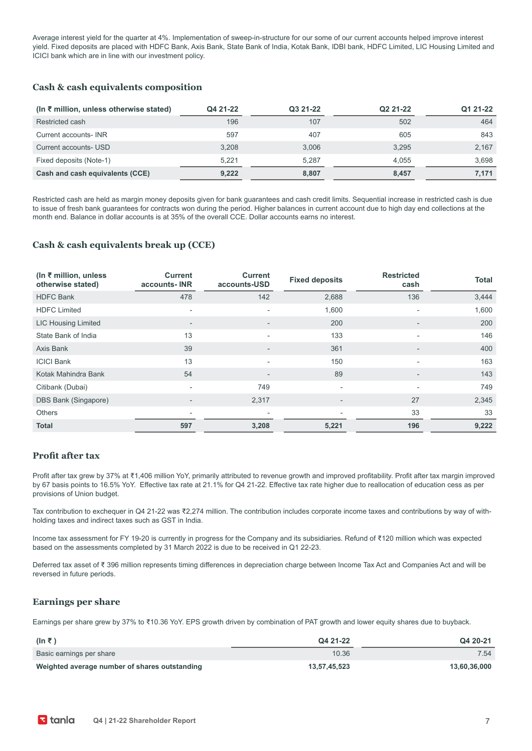Average interest yield for the quarter at 4%. Implementation of sweep-in-structure for our some of our current accounts helped improve interest yield. Fixed deposits are placed with HDFC Bank, Axis Bank, State Bank of India, Kotak Bank, IDBI bank, HDFC Limited, LIC Housing Limited and ICICI bank which are in line with our investment policy.

#### **Cash & cash equivalents composition**

| $(\ln \xi)$ million, unless otherwise stated) | Q4 21-22 | Q3 21-22 | Q2 21-22 | Q1 21-22 |
|-----------------------------------------------|----------|----------|----------|----------|
| Restricted cash                               | 196      | 107      | 502      | 464      |
| Current accounts- INR                         | 597      | 407      | 605      | 843      |
| Current accounts- USD                         | 3.208    | 3,006    | 3.295    | 2,167    |
| Fixed deposits (Note-1)                       | 5.221    | 5.287    | 4.055    | 3.698    |
| Cash and cash equivalents (CCE)               | 9,222    | 8,807    | 8,457    | 7,171    |

Restricted cash are held as margin money deposits given for bank guarantees and cash credit limits. Sequential increase in restricted cash is due to issue of fresh bank guarantees for contracts won during the period. Higher balances in current account due to high day end collections at the month end. Balance in dollar accounts is at 35% of the overall CCE. Dollar accounts earns no interest.

#### **Cash & cash equivalents break up (CCE)**

| (In $\bar{\tau}$ million, unless<br>otherwise stated) | <b>Current</b><br>accounts-INR | <b>Current</b><br>accounts-USD | <b>Fixed deposits</b>    | <b>Restricted</b><br>cash | <b>Total</b> |
|-------------------------------------------------------|--------------------------------|--------------------------------|--------------------------|---------------------------|--------------|
| <b>HDFC Bank</b>                                      | 478                            | 142                            | 2,688                    | 136                       | 3,444        |
| <b>HDFC Limited</b>                                   | $\overline{\phantom{a}}$       | ٠                              | 1,600                    |                           | 1,600        |
| <b>LIC Housing Limited</b>                            | $\overline{\phantom{a}}$       | $\overline{\phantom{a}}$       | 200                      | $\overline{\phantom{a}}$  | 200          |
| State Bank of India                                   | 13                             | ٠                              | 133                      | $\overline{\phantom{0}}$  | 146          |
| Axis Bank                                             | 39                             | $\overline{\phantom{a}}$       | 361                      | $\overline{\phantom{a}}$  | 400          |
| <b>ICICI Bank</b>                                     | 13                             | $\blacksquare$                 | 150                      | $\overline{\phantom{0}}$  | 163          |
| Kotak Mahindra Bank                                   | 54                             | $\overline{\phantom{a}}$       | 89                       | $\overline{\phantom{a}}$  | 143          |
| Citibank (Dubai)                                      | $\overline{\phantom{a}}$       | 749                            | $\overline{\phantom{0}}$ | $\sim$                    | 749          |
| DBS Bank (Singapore)                                  | $\overline{\phantom{a}}$       | 2,317                          | $\overline{\phantom{0}}$ | 27                        | 2,345        |
| <b>Others</b>                                         | $\overline{\phantom{a}}$       |                                |                          | 33                        | 33           |
| <b>Total</b>                                          | 597                            | 3,208                          | 5,221                    | 196                       | 9,222        |

#### **Profit after tax**

Profit after tax grew by 37% at ₹1,406 million YoY, primarily attributed to revenue growth and improved profitability. Profit after tax margin improved by 67 basis points to 16.5% YoY. Effective tax rate at 21.1% for Q4 21-22. Effective tax rate higher due to reallocation of education cess as per provisions of Union budget.

Tax contribution to exchequer in Q4 21-22 was ₹2,274 million. The contribution includes corporate income taxes and contributions by way of withholding taxes and indirect taxes such as GST in India.

Income tax assessment for FY 19-20 is currently in progress for the Company and its subsidiaries. Refund of ₹120 million which was expected based on the assessments completed by 31 March 2022 is due to be received in Q1 22-23.

Deferred tax asset of ₹ 396 million represents timing differences in depreciation charge between Income Tax Act and Companies Act and will be reversed in future periods.

#### **Earnings per share**

Earnings per share grew by 37% to ₹10.36 YoY. EPS growth driven by combination of PAT growth and lower equity shares due to buyback.

| (In ₹)                                        | Q4 21-22     | Q4 20-21     |
|-----------------------------------------------|--------------|--------------|
| Basic earnings per share                      | 10.36        | 7.54         |
| Weighted average number of shares outstanding | 13,57,45,523 | 13,60,36,000 |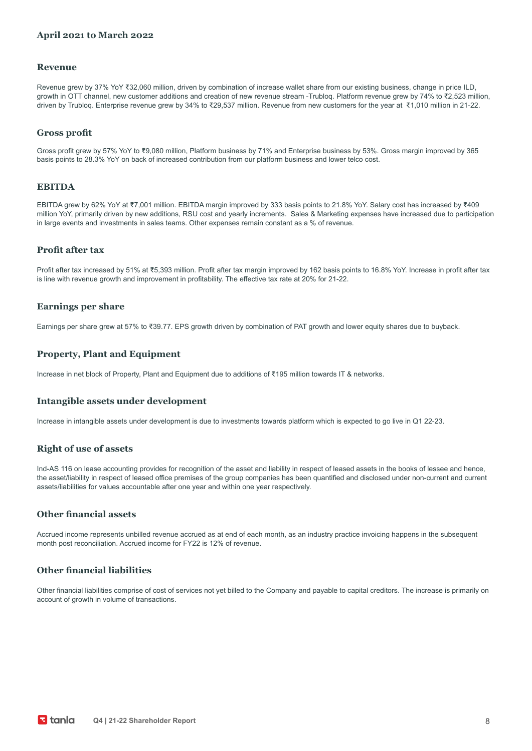#### **April 2021 to March 2022**

#### **Revenue**

Revenue grew by 37% YoY ₹32,060 million, driven by combination of increase wallet share from our existing business, change in price ILD, growth in OTT channel, new customer additions and creation of new revenue stream -Trubloq. Platform revenue grew by 74% to ₹2,523 million, driven by Trubloq. Enterprise revenue grew by 34% to ₹29,537 million. Revenue from new customers for the year at ₹1,010 million in 21-22.

#### **Gross profit**

Gross profit grew by 57% YoY to ₹9,080 million, Platform business by 71% and Enterprise business by 53%. Gross margin improved by 365 basis points to 28.3% YoY on back of increased contribution from our platform business and lower telco cost.

#### **EBITDA**

EBITDA grew by 62% YoY at ₹7,001 million. EBITDA margin improved by 333 basis points to 21.8% YoY. Salary cost has increased by ₹409 million YoY, primarily driven by new additions, RSU cost and yearly increments. Sales & Marketing expenses have increased due to participation in large events and investments in sales teams. Other expenses remain constant as a % of revenue.

#### **Profit after tax**

Profit after tax increased by 51% at ₹5,393 million. Profit after tax margin improved by 162 basis points to 16.8% YoY. Increase in profit after tax is line with revenue growth and improvement in profitability. The effective tax rate at 20% for 21-22.

#### **Earnings per share**

Earnings per share grew at 57% to ₹39.77. EPS growth driven by combination of PAT growth and lower equity shares due to buyback.

#### **Property, Plant and Equipment**

Increase in net block of Property, Plant and Equipment due to additions of ₹195 million towards IT & networks.

#### **Intangible assets under development**

Increase in intangible assets under development is due to investments towards platform which is expected to go live in Q1 22-23.

#### **Right of use of assets**

Ind-AS 116 on lease accounting provides for recognition of the asset and liability in respect of leased assets in the books of lessee and hence, the asset/liability in respect of leased office premises of the group companies has been quantified and disclosed under non-current and current assets/liabilities for values accountable after one year and within one year respectively.

#### **Other financial assets**

Accrued income represents unbilled revenue accrued as at end of each month, as an industry practice invoicing happens in the subsequent month post reconciliation. Accrued income for FY22 is 12% of revenue.

#### **Other financial liabilities**

Other financial liabilities comprise of cost of services not yet billed to the Company and payable to capital creditors. The increase is primarily on account of growth in volume of transactions.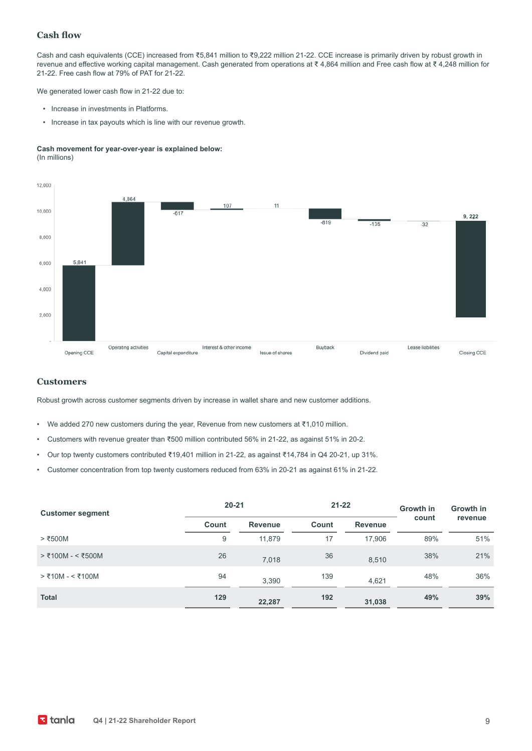#### **Cash flow**

Cash and cash equivalents (CCE) increased from ₹5,841 million to ₹9,222 million 21-22. CCE increase is primarily driven by robust growth in revenue and effective working capital management. Cash generated from operations at ₹ 4,864 million and Free cash flow at ₹ 4,248 million for 21-22. Free cash flow at 79% of PAT for 21-22.

We generated lower cash flow in 21-22 due to:

- Increase in investments in Platforms.
- Increase in tax payouts which is line with our revenue growth.

#### **Cash movement for year-over-year is explained below:** (In millions)



#### **Customers**

Robust growth across customer segments driven by increase in wallet share and new customer additions.

- We added 270 new customers during the year, Revenue from new customers at ₹1,010 million.
- Customers with revenue greater than ₹500 million contributed 56% in 21-22, as against 51% in 20-2.
- Our top twenty customers contributed ₹19,401 million in 21-22, as against ₹14,784 in Q4 20-21, up 31%.
- Customer concentration from top twenty customers reduced from 63% in 20-21 as against 61% in 21-22.

| <b>Customer segment</b> | $20 - 21$ |                         | $21 - 22$ |                | Growth in | Growth in |  |
|-------------------------|-----------|-------------------------|-----------|----------------|-----------|-----------|--|
|                         | Count     | Count<br><b>Revenue</b> |           | <b>Revenue</b> | count     | revenue   |  |
| $>$ ₹500M               | 9         | 11.879                  | 17        | 17.906         | 89%       | 51%       |  |
| > ₹100M - < ₹500M       | 26        | 7,018                   | 36        | 8,510          | 38%       | 21%       |  |
| $>$ ₹10M - < ₹100M      | 94        | 3,390                   | 139       | 4,621          | 48%       | 36%       |  |
| <b>Total</b>            | 129       | 22,287                  | 192       | 31,038         | 49%       | 39%       |  |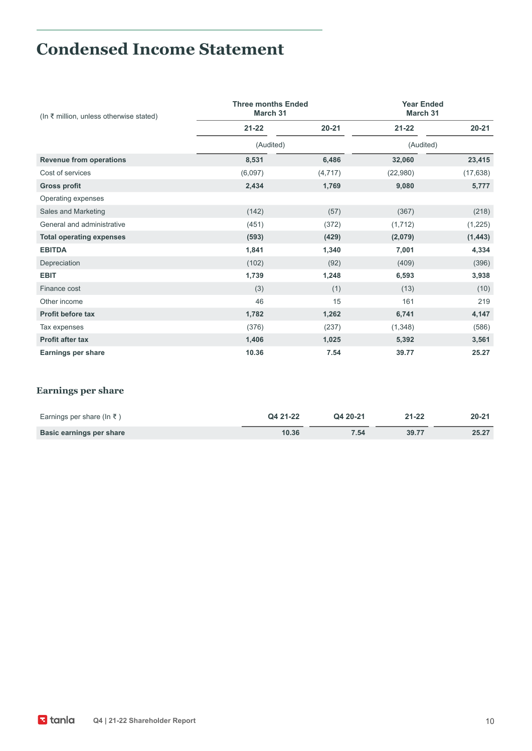# **Condensed Income Statement**

| $(ln ₹$ million, unless otherwise stated) | <b>Three months Ended</b><br>March 31 | <b>Year Ended</b><br>March 31 |           |           |
|-------------------------------------------|---------------------------------------|-------------------------------|-----------|-----------|
|                                           | $21 - 22$                             | $20 - 21$                     | $21 - 22$ | $20 - 21$ |
|                                           | (Audited)                             |                               | (Audited) |           |
| <b>Revenue from operations</b>            | 8,531                                 | 6,486                         | 32,060    | 23,415    |
| Cost of services                          | (6,097)                               | (4, 717)                      | (22,980)  | (17, 638) |
| <b>Gross profit</b>                       | 2,434                                 | 1,769                         | 9,080     | 5,777     |
| Operating expenses                        |                                       |                               |           |           |
| Sales and Marketing                       | (142)                                 | (57)                          | (367)     | (218)     |
| General and administrative                | (451)                                 | (372)                         | (1,712)   | (1, 225)  |
| <b>Total operating expenses</b>           | (593)                                 | (429)                         | (2,079)   | (1, 443)  |
| <b>EBITDA</b>                             | 1,841                                 | 1,340                         | 7,001     | 4,334     |
| Depreciation                              | (102)                                 | (92)                          | (409)     | (396)     |
| <b>EBIT</b>                               | 1,739                                 | 1,248                         | 6,593     | 3,938     |
| Finance cost                              | (3)                                   | (1)                           | (13)      | (10)      |
| Other income                              | 46                                    | 15                            | 161       | 219       |
| <b>Profit before tax</b>                  | 1,782                                 | 1,262                         | 6,741     | 4,147     |
| Tax expenses                              | (376)                                 | (237)                         | (1,348)   | (586)     |
| <b>Profit after tax</b>                   | 1,406                                 | 1,025                         | 5,392     | 3,561     |
| <b>Earnings per share</b>                 | 10.36                                 | 7.54                          | 39.77     | 25.27     |

### **Earnings per share**

| Earnings per share (In ₹) | Q4 21-22 | Q4 20-21 | $21 - 22$ | $20 - 21$ |
|---------------------------|----------|----------|-----------|-----------|
| Basic earnings per share  | 10.36    | 7.54     | 39.77     | 25.27     |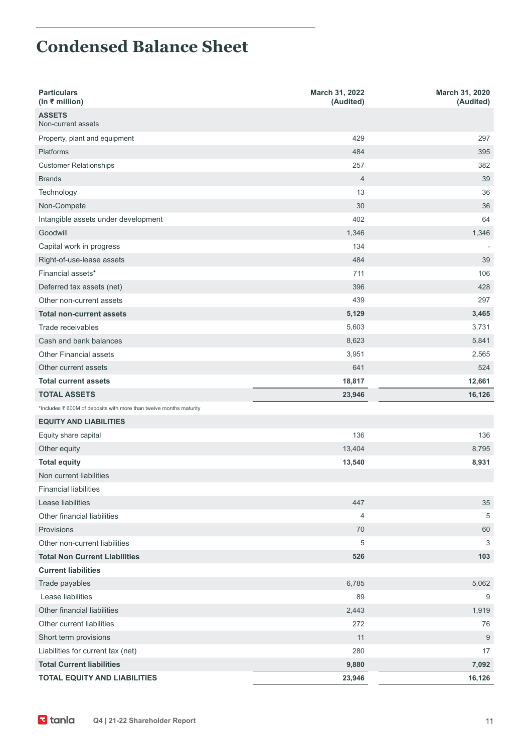## **Condensed Balance Sheet**

| <b>Particulars</b><br>(In ₹ million)                               | March 31, 2022<br>(Audited) | March 31, 2020<br>(Audited) |
|--------------------------------------------------------------------|-----------------------------|-----------------------------|
| <b>ASSETS</b><br>Non-current assets                                |                             |                             |
| Property, plant and equipment                                      | 429                         | 297                         |
| <b>Platforms</b>                                                   | 484                         | 395                         |
| <b>Customer Relationships</b>                                      | 257                         | 382                         |
| <b>Brands</b>                                                      | $\overline{4}$              | 39                          |
| Technology                                                         | 13                          | 36                          |
| Non-Compete                                                        | 30                          | 36                          |
| Intangible assets under development                                | 402                         | 64                          |
| Goodwill                                                           | 1,346                       | 1,346                       |
| Capital work in progress                                           | 134                         |                             |
| Right-of-use-lease assets                                          | 484                         | 39                          |
| Financial assets*                                                  | 711                         | 106                         |
| Deferred tax assets (net)                                          | 396                         | 428                         |
| Other non-current assets                                           | 439                         | 297                         |
| <b>Total non-current assets</b>                                    | 5,129                       | 3,465                       |
| Trade receivables                                                  | 5,603                       | 3,731                       |
| Cash and bank balances                                             | 8,623                       | 5,841                       |
| Other Financial assets                                             | 3,951                       | 2,565                       |
| Other current assets                                               | 641                         | 524                         |
| <b>Total current assets</b>                                        | 18,817                      | 12,661                      |
| <b>TOTAL ASSETS</b>                                                |                             |                             |
|                                                                    | 23,946                      | 16,126                      |
| *Includes ₹ 600M of deposits with more than twelve months maturity |                             |                             |
| <b>EQUITY AND LIABILITIES</b>                                      |                             |                             |
| Equity share capital                                               | 136                         | 136                         |
| Other equity                                                       | 13,404                      | 8,795                       |
| <b>Total equity</b>                                                | 13,540                      | 8,931                       |
| Non current liabilities                                            |                             |                             |
| <b>Financial liabilities</b>                                       |                             |                             |
| Lease liabilities                                                  | 447                         | 35                          |
| Other financial liabilities                                        | $\overline{4}$              | 5                           |
| Provisions                                                         | 70                          | 60                          |
| Other non-current liabilities                                      | 5                           | 3                           |
| <b>Total Non Current Liabilities</b>                               | 526                         | 103                         |
| <b>Current liabilities</b>                                         |                             |                             |
| Trade payables                                                     | 6,785                       | 5,062                       |
| Lease liabilities                                                  | 89                          | $\overline{9}$              |
| Other financial liabilities                                        | 2,443                       | 1,919                       |
| Other current liabilities                                          | 272                         | 76                          |
| Short term provisions                                              | 11                          | 9                           |
| Liabilities for current tax (net)                                  | 280                         | 17                          |
| <b>Total Current liabilities</b>                                   | 9,880                       | 7,092                       |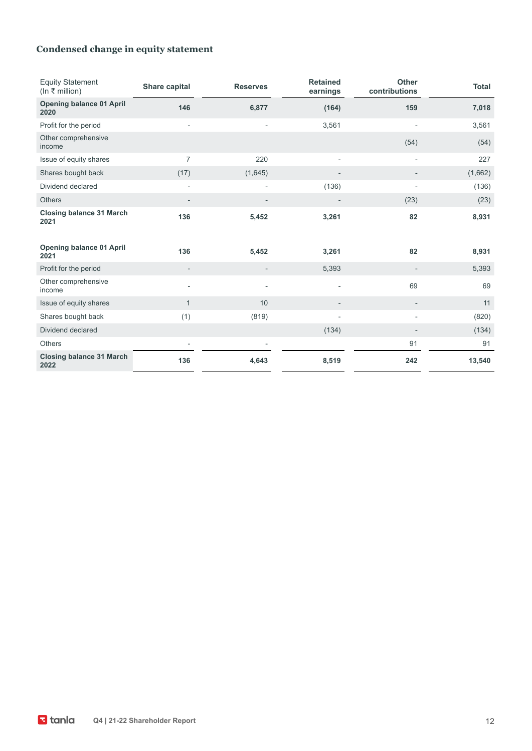### **Condensed change in equity statement**

| <b>Equity Statement</b><br>(ln ₹ million) | Share capital            | <b>Reserves</b>          | <b>Retained</b><br>earnings | <b>Other</b><br>contributions | <b>Total</b> |
|-------------------------------------------|--------------------------|--------------------------|-----------------------------|-------------------------------|--------------|
| <b>Opening balance 01 April</b><br>2020   | 146                      | 6,877                    | (164)                       | 159                           | 7,018        |
| Profit for the period                     | $\overline{\phantom{a}}$ | $\overline{\phantom{a}}$ | 3,561                       | ÷                             | 3,561        |
| Other comprehensive<br>income             |                          |                          |                             | (54)                          | (54)         |
| Issue of equity shares                    | $\overline{7}$           | 220                      | $\overline{\phantom{a}}$    |                               | 227          |
| Shares bought back                        | (17)                     | (1,645)                  |                             |                               | (1,662)      |
| Dividend declared                         | $\overline{a}$           | $\overline{a}$           | (136)                       | $\overline{\phantom{a}}$      | (136)        |
| <b>Others</b>                             | $\overline{\phantom{a}}$ | $\overline{\phantom{a}}$ |                             | (23)                          | (23)         |
| <b>Closing balance 31 March</b><br>2021   | 136                      | 5,452                    | 3,261                       | 82                            | 8,931        |
| <b>Opening balance 01 April</b><br>2021   | 136                      | 5,452                    | 3,261                       | 82                            | 8,931        |
| Profit for the period                     |                          |                          | 5,393                       | $\overline{a}$                | 5,393        |
| Other comprehensive<br>income             | $\overline{\phantom{a}}$ |                          |                             | 69                            | 69           |
| Issue of equity shares                    | $\mathbf{1}$             | 10                       | $\overline{\phantom{a}}$    | $\qquad \qquad -$             | 11           |
| Shares bought back                        | (1)                      | (819)                    | ÷                           | ÷                             | (820)        |
| Dividend declared                         |                          |                          | (134)                       | $\qquad \qquad \blacksquare$  | (134)        |
| <b>Others</b>                             | $\overline{\phantom{a}}$ | $\overline{\phantom{a}}$ |                             | 91                            | 91           |
| <b>Closing balance 31 March</b><br>2022   | 136                      | 4,643                    | 8,519                       | 242                           | 13,540       |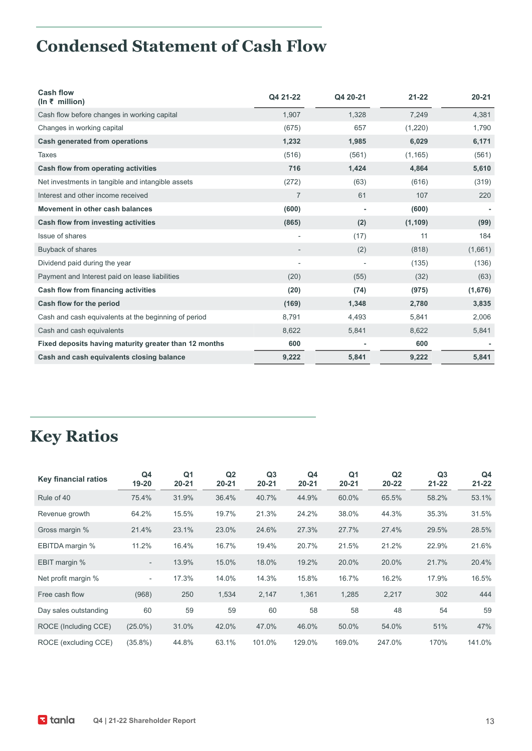# **Condensed Statement of Cash Flow**

| <b>Cash flow</b><br>(ln ₹ million)                    | Q4 21-22                 | Q4 20-21 | $21 - 22$ | $20 - 21$ |
|-------------------------------------------------------|--------------------------|----------|-----------|-----------|
| Cash flow before changes in working capital           | 1,907                    | 1,328    | 7,249     | 4,381     |
| Changes in working capital                            | (675)                    | 657      | (1,220)   | 1,790     |
| Cash generated from operations                        | 1,232                    | 1,985    | 6,029     | 6,171     |
| <b>Taxes</b>                                          | (516)                    | (561)    | (1, 165)  | (561)     |
| Cash flow from operating activities                   | 716                      | 1,424    | 4,864     | 5,610     |
| Net investments in tangible and intangible assets     | (272)                    | (63)     | (616)     | (319)     |
| Interest and other income received                    | $\overline{7}$           | 61       | 107       | 220       |
| Movement in other cash balances                       | (600)                    |          | (600)     |           |
| Cash flow from investing activities                   | (865)                    | (2)      | (1, 109)  | (99)      |
| Issue of shares                                       | ٠                        | (17)     | 11        | 184       |
| Buyback of shares                                     | $\overline{\phantom{0}}$ | (2)      | (818)     | (1,661)   |
| Dividend paid during the year                         | $\overline{a}$           |          | (135)     | (136)     |
| Payment and Interest paid on lease liabilities        | (20)                     | (55)     | (32)      | (63)      |
| Cash flow from financing activities                   | (20)                     | (74)     | (975)     | (1,676)   |
| Cash flow for the period                              | (169)                    | 1,348    | 2,780     | 3,835     |
| Cash and cash equivalents at the beginning of period  | 8,791                    | 4,493    | 5,841     | 2,006     |
| Cash and cash equivalents                             | 8,622                    | 5,841    | 8,622     | 5,841     |
| Fixed deposits having maturity greater than 12 months | 600                      |          | 600       |           |
| Cash and cash equivalents closing balance             | 9,222                    | 5,841    | 9,222     | 5,841     |

# **Key Ratios**

| Key financial ratios  | Q <sub>4</sub><br>19-20  | Q <sub>1</sub><br>$20 - 21$ | Q <sub>2</sub><br>$20 - 21$ | Q <sub>3</sub><br>$20 - 21$ | Q <sub>4</sub><br>$20 - 21$ | Q <sub>1</sub><br>$20 - 21$ | Q <sub>2</sub><br>$20 - 22$ | Q <sub>3</sub><br>$21 - 22$ | Q <sub>4</sub><br>$21 - 22$ |
|-----------------------|--------------------------|-----------------------------|-----------------------------|-----------------------------|-----------------------------|-----------------------------|-----------------------------|-----------------------------|-----------------------------|
| Rule of 40            | 75.4%                    | 31.9%                       | 36.4%                       | 40.7%                       | 44.9%                       | 60.0%                       | 65.5%                       | 58.2%                       | 53.1%                       |
| Revenue growth        | 64.2%                    | 15.5%                       | 19.7%                       | 21.3%                       | 24.2%                       | 38.0%                       | 44.3%                       | 35.3%                       | 31.5%                       |
| Gross margin %        | 21.4%                    | 23.1%                       | 23.0%                       | 24.6%                       | 27.3%                       | 27.7%                       | 27.4%                       | 29.5%                       | 28.5%                       |
| EBITDA margin %       | 11.2%                    | 16.4%                       | 16.7%                       | 19.4%                       | 20.7%                       | 21.5%                       | 21.2%                       | 22.9%                       | 21.6%                       |
| EBIT margin %         | $\overline{\phantom{a}}$ | 13.9%                       | 15.0%                       | 18.0%                       | 19.2%                       | 20.0%                       | 20.0%                       | 21.7%                       | 20.4%                       |
| Net profit margin %   | $\overline{\phantom{a}}$ | 17.3%                       | 14.0%                       | 14.3%                       | 15.8%                       | 16.7%                       | 16.2%                       | 17.9%                       | 16.5%                       |
| Free cash flow        | (968)                    | 250                         | 1,534                       | 2,147                       | 1,361                       | 1,285                       | 2,217                       | 302                         | 444                         |
| Day sales outstanding | 60                       | 59                          | 59                          | 60                          | 58                          | 58                          | 48                          | 54                          | 59                          |
| ROCE (Including CCE)  | $(25.0\%)$               | 31.0%                       | 42.0%                       | 47.0%                       | 46.0%                       | 50.0%                       | 54.0%                       | 51%                         | 47%                         |
| ROCE (excluding CCE)  | $(35.8\%)$               | 44.8%                       | 63.1%                       | 101.0%                      | 129.0%                      | 169.0%                      | 247.0%                      | 170%                        | 141.0%                      |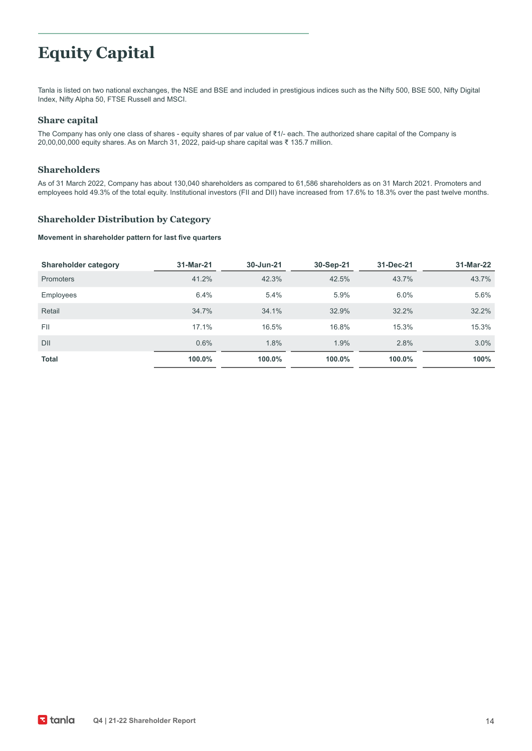# **Equity Capital**

Tanla is listed on two national exchanges, the NSE and BSE and included in prestigious indices such as the Nifty 500, BSE 500, Nifty Digital Index, Nifty Alpha 50, FTSE Russell and MSCI.

#### **Share capital**

The Company has only one class of shares - equity shares of par value of ₹1/- each. The authorized share capital of the Company is 20,00,00,000 equity shares. As on March 31, 2022, paid-up share capital was ₹ 135.7 million.

#### **Shareholders**

As of 31 March 2022, Company has about 130,040 shareholders as compared to 61,586 shareholders as on 31 March 2021. Promoters and employees hold 49.3% of the total equity. Institutional investors (FII and DII) have increased from 17.6% to 18.3% over the past twelve months.

#### **Shareholder Distribution by Category**

#### **Movement in shareholder pattern for last five quarters**

| <b>Shareholder category</b> | 31-Mar-21 | 30-Jun-21 | 30-Sep-21 | 31-Dec-21 | 31-Mar-22 |
|-----------------------------|-----------|-----------|-----------|-----------|-----------|
| <b>Promoters</b>            | 41.2%     | 42.3%     | 42.5%     | 43.7%     | 43.7%     |
| <b>Employees</b>            | 6.4%      | 5.4%      | 5.9%      | 6.0%      | 5.6%      |
| Retail                      | 34.7%     | 34.1%     | 32.9%     | 32.2%     | 32.2%     |
| FII                         | 17.1%     | 16.5%     | 16.8%     | 15.3%     | 15.3%     |
| DII                         | 0.6%      | 1.8%      | 1.9%      | 2.8%      | 3.0%      |
| <b>Total</b>                | 100.0%    | 100.0%    | 100.0%    | 100.0%    | 100%      |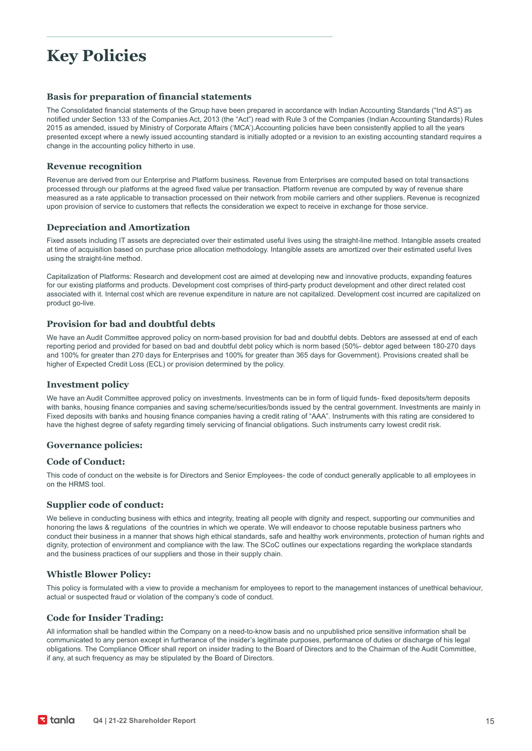### **Key Policies**

#### **Basis for preparation of financial statements**

The Consolidated financial statements of the Group have been prepared in accordance with Indian Accounting Standards ("Ind AS") as notified under Section 133 of the Companies Act, 2013 (the "Act") read with Rule 3 of the Companies (Indian Accounting Standards) Rules 2015 as amended, issued by Ministry of Corporate Affairs ('MCA').Accounting policies have been consistently applied to all the years presented except where a newly issued accounting standard is initially adopted or a revision to an existing accounting standard requires a change in the accounting policy hitherto in use.

#### **Revenue recognition**

Revenue are derived from our Enterprise and Platform business. Revenue from Enterprises are computed based on total transactions processed through our platforms at the agreed fixed value per transaction. Platform revenue are computed by way of revenue share measured as a rate applicable to transaction processed on their network from mobile carriers and other suppliers. Revenue is recognized upon provision of service to customers that reflects the consideration we expect to receive in exchange for those service.

#### **Depreciation and Amortization**

Fixed assets including IT assets are depreciated over their estimated useful lives using the straight-line method. Intangible assets created at time of acquisition based on purchase price allocation methodology. Intangible assets are amortized over their estimated useful lives using the straight-line method.

Capitalization of Platforms: Research and development cost are aimed at developing new and innovative products, expanding features for our existing platforms and products. Development cost comprises of third-party product development and other direct related cost associated with it. Internal cost which are revenue expenditure in nature are not capitalized. Development cost incurred are capitalized on product go-live.

#### **Provision for bad and doubtful debts**

We have an Audit Committee approved policy on norm-based provision for bad and doubtful debts. Debtors are assessed at end of each reporting period and provided for based on bad and doubtful debt policy which is norm based (50%- debtor aged between 180-270 days and 100% for greater than 270 days for Enterprises and 100% for greater than 365 days for Government). Provisions created shall be higher of Expected Credit Loss (ECL) or provision determined by the policy.

#### **Investment policy**

We have an Audit Committee approved policy on investments. Investments can be in form of liquid funds- fixed deposits/term deposits with banks, housing finance companies and saving scheme/securities/bonds issued by the central government. Investments are mainly in Fixed deposits with banks and housing finance companies having a credit rating of "AAA". Instruments with this rating are considered to have the highest degree of safety regarding timely servicing of financial obligations. Such instruments carry lowest credit risk.

#### **Governance policies:**

#### **Code of Conduct:**

This code of conduct on the website is for Directors and Senior Employees- the code of conduct generally applicable to all employees in on the HRMS tool.

#### **Supplier code of conduct:**

We believe in conducting business with ethics and integrity, treating all people with dignity and respect, supporting our communities and honoring the laws & regulations of the countries in which we operate. We will endeavor to choose reputable business partners who conduct their business in a manner that shows high ethical standards, safe and healthy work environments, protection of human rights and dignity, protection of environment and compliance with the law. The SCoC outlines our expectations regarding the workplace standards and the business practices of our suppliers and those in their supply chain.

#### **Whistle Blower Policy:**

This policy is formulated with a view to provide a mechanism for employees to report to the management instances of unethical behaviour, actual or suspected fraud or violation of the company's code of conduct.

#### **Code for Insider Trading:**

All information shall be handled within the Company on a need-to-know basis and no unpublished price sensitive information shall be communicated to any person except in furtherance of the insider's legitimate purposes, performance of duties or discharge of his legal obligations. The Compliance Officer shall report on insider trading to the Board of Directors and to the Chairman of the Audit Committee, if any, at such frequency as may be stipulated by the Board of Directors.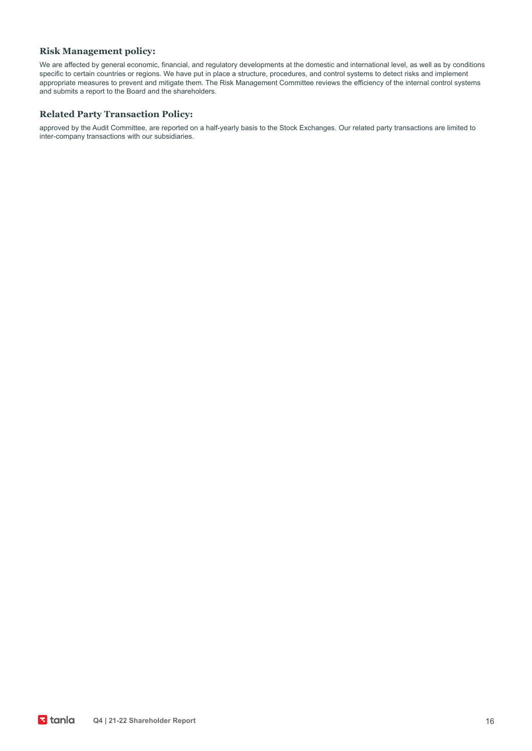#### **Risk Management policy:**

We are affected by general economic, financial, and regulatory developments at the domestic and international level, as well as by conditions specific to certain countries or regions. We have put in place a structure, procedures, and control systems to detect risks and implement appropriate measures to prevent and mitigate them. The Risk Management Committee reviews the efficiency of the internal control systems and submits a report to the Board and the shareholders.

#### **Related Party Transaction Policy:**

approved by the Audit Committee, are reported on a half-yearly basis to the Stock Exchanges. Our related party transactions are limited to inter-company transactions with our subsidiaries.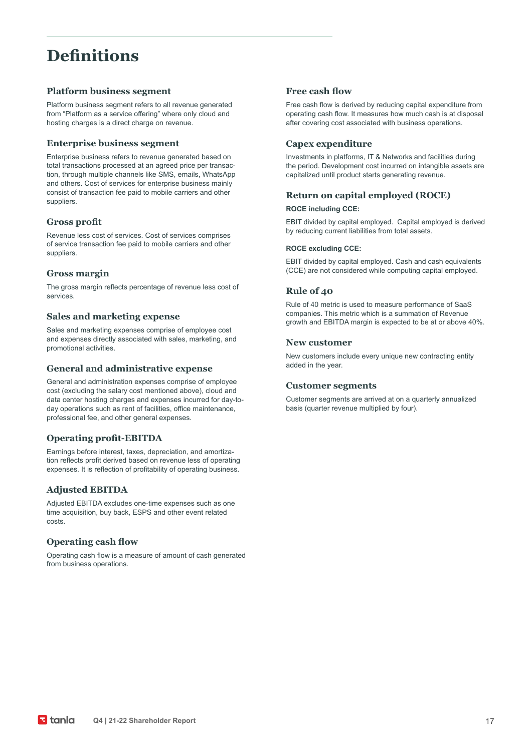### **Definitions**

#### **Platform business segment**

Platform business segment refers to all revenue generated from "Platform as a service offering" where only cloud and hosting charges is a direct charge on revenue.

#### **Enterprise business segment**

Enterprise business refers to revenue generated based on total transactions processed at an agreed price per transaction, through multiple channels like SMS, emails, WhatsApp and others. Cost of services for enterprise business mainly consist of transaction fee paid to mobile carriers and other suppliers.

#### **Gross profit**

Revenue less cost of services. Cost of services comprises of service transaction fee paid to mobile carriers and other suppliers.

#### **Gross margin**

The gross margin reflects percentage of revenue less cost of services.

#### **Sales and marketing expense**

Sales and marketing expenses comprise of employee cost and expenses directly associated with sales, marketing, and promotional activities.

#### **General and administrative expense**

General and administration expenses comprise of employee cost (excluding the salary cost mentioned above), cloud and data center hosting charges and expenses incurred for day-today operations such as rent of facilities, office maintenance, professional fee, and other general expenses.

#### **Operating profit-EBITDA**

Earnings before interest, taxes, depreciation, and amortization reflects profit derived based on revenue less of operating expenses. It is reflection of profitability of operating business.

#### **Adjusted EBITDA**

Adjusted EBITDA excludes one-time expenses such as one time acquisition, buy back, ESPS and other event related costs.

#### **Operating cash flow**

Operating cash flow is a measure of amount of cash generated from business operations.

#### **Free cash flow**

Free cash flow is derived by reducing capital expenditure from operating cash flow. It measures how much cash is at disposal after covering cost associated with business operations.

#### **Capex expenditure**

Investments in platforms, IT & Networks and facilities during the period. Development cost incurred on intangible assets are capitalized until product starts generating revenue.

#### **Return on capital employed (ROCE)**

#### **ROCE including CCE:**

EBIT divided by capital employed. Capital employed is derived by reducing current liabilities from total assets.

#### **ROCE excluding CCE:**

EBIT divided by capital employed. Cash and cash equivalents (CCE) are not considered while computing capital employed.

#### **Rule of 40**

Rule of 40 metric is used to measure performance of SaaS companies. This metric which is a summation of Revenue growth and EBITDA margin is expected to be at or above 40%.

#### **New customer**

New customers include every unique new contracting entity added in the year.

#### **Customer segments**

Customer segments are arrived at on a quarterly annualized basis (quarter revenue multiplied by four).